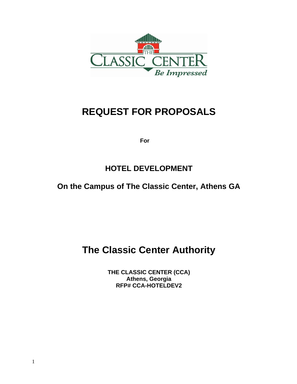

# **REQUEST FOR PROPOSALS**

 **For** 

# **HOTEL DEVELOPMENT**

# **On the Campus of The Classic Center, Athens GA**

# **The Classic Center Authority**

**THE CLASSIC CENTER (CCA) Athens, Georgia RFP# CCA-HOTELDEV2**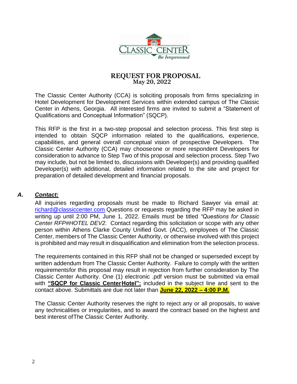

#### **REQUEST FOR PROPOSAL May 20, 2022**

The Classic Center Authority (CCA) is soliciting proposals from firms specializing in Hotel Development for Development Services within extended campus of The Classic Center in Athens, Georgia. All interested firms are invited to submit a "Statement of Qualifications and Conceptual Information" (SQCP).

This RFP is the first in a two-step proposal and selection process. This first step is intended to obtain SQCP information related to the qualifications, experience, capabilities, and general overall conceptual vision of prospective Developers. The Classic Center Authority (CCA) may chooseone or more respondent Developers for consideration to advance to Step Two of this proposal and selection process. Step Two may include, but not be limited to, discussions with Developer(s) and providing qualified Developer(s) with additional, detailed information related to the site and project for preparation of detailed development and financial proposals.

#### *A. Contact:*

All inquiries regarding proposals must be made to Richard Sawyer via email at: [richard@classiccenter.com.](mailto:richard@classiccenter.com)Questions or requests regarding the RFP may be asked in writing up until 2:00 PM, June 1, 2022. Emails must be titled *"Questions for Classic Center RFP#HOTEL DEV2.* Contact regarding this solicitation or scope with any other person within Athens Clarke County Unified Govt. (ACC), employees of The Classic Center, members of The Classic Center Authority, or otherwise involved with this project is prohibited and may result in disqualification and elimination from the selection process.

The requirements contained in this RFP shall not be changed or superseded except by written addendum from The Classic Center Authority. Failure to comply with the written requirementsfor this proposal may result in rejection from further consideration by The Classic Center Authority. One (1) electronic .pdf version must be submitted via email with **"SQCP for Classic CenterHotel":** included in the subject line and sent to the contact above. Submittals are due not later than **June 22, 2022 – 4:00 P.M.**

The Classic Center Authority reserves the right to reject any or all proposals, to waive any technicalities or irregularities, and to award the contract based on the highest and best interest ofThe Classic Center Authority.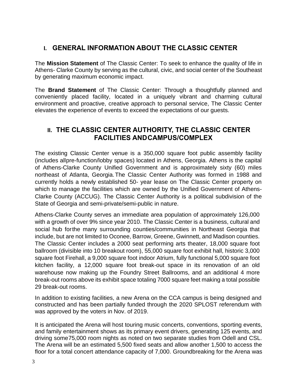# **I. GENERAL INFORMATION ABOUT THE CLASSIC CENTER**

The **Mission Statement** of The Classic Center: To seek to enhance the quality of life in Athens- Clarke County by serving as the cultural, civic, and social center of the Southeast by generating maximum economic impact.

The **Brand Statement** of The Classic Center: Through a thoughtfully planned and conveniently placed facility, located in a uniquely vibrant and charming cultural environment and proactive, creative approach to personal service, The Classic Center elevates the experience of events to exceed the expectations of our guests.

# **II. THE CLASSIC CENTER AUTHORITY, THE CLASSIC CENTER FACILITIES ANDCAMPUS/COMPLEX**

The existing Classic Center venue is a 350,000 square foot public assembly facility (includes allpre-function/lobby spaces) located in Athens, Georgia. Athens is the capital of Athens-Clarke County Unified Government and is approximately sixty (60) miles northeast of Atlanta, Georgia.The Classic Center Authority was formed in 1988 and currently holds a newly established 50- year lease on The Classic Center property on which to manage the facilities which are owned by the Unified Government of Athens-Clarke County (ACCUG). The Classic Center Authority is a political subdivision of the State of Georgia and semi-private/semi-public in nature.

Athens-Clarke County serves an immediate area population of approximately 126,000 with a growth of over 9% since year 2010. The Classic Center is a business, cultural and social hub forthe many surrounding counties/communities in Northeast Georgia that include, but are not limited to Oconee, Barrow, Greene, Gwinnett, and Madison counties. The Classic Center includes a 2000 seat performing arts theater, 18,000 square foot ballroom (divisible into 10 breakout room), 55,000 square foot exhibit hall, historic 3,000 square foot Firehall, a 9,000 square foot indoor Atrium, fully functional 5,000 square foot kitchen facility, a 12,000 square foot break-out space in its renovation of an old warehouse now making up the Foundry Street Ballrooms, and an additional 4 more break-out rooms above its exhibit space totaling 7000 square feet making a total possible 29 break-out rooms.

In addition to existing facilities, a new Arena on the CCA campus is being designed and constructed and has been partially funded through the 2020 SPLOST referendum with was approved by the voters in Nov. of 2019.

It is anticipated the Arena will host touring music concerts, conventions, sporting events, and family entertainment shows as its primary event drivers, generating 125 events, and driving some75,000 room nights as noted on two separate studies from Odell and CSL. The Arena will be an estimated 5,500 fixed seats and allow another 1,500 to access the floor for a total concert attendance capacity of 7,000. Groundbreaking for the Arena was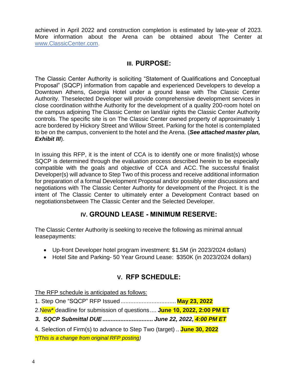achieved in April 2022 and construction completion is estimated by late-year of 2023. More information about the Arena can be obtained about The Center at [www.ClassicCenter.com.](http://www.classiccenter.com/)

## **III. PURPOSE:**

The Classic Center Authority is soliciting "Statement of Qualifications and Conceptual Proposal" (SQCP) information from capable and experienced Developers to develop a Downtown Athens, Georgia Hotel under a ground lease with The Classic Center Authority. Theselected Developer will provide comprehensive development services in close coordination withthe Authority for the development of a quality 200-room hotel on the campus adjoining The Classic Center on land/air rights the Classic Center Authority controls. The specific site is on The Classic Center owned property of approximately 1 acre bordered by Hickory Street and Willow Street. Parking for the hotel is contemplated to be on the campus, convenient to the hotel and the Arena. (*See attached master plan, Exhibit III*).

In issuing this RFP, it is the intent of CCA is to identify one or more finalist(s) whose SQCP is determined through the evaluation process described herein to be especially compatible with the goals and objective of CCA and ACC. The successful finalist Developer(s) will advance to Step Two of this process and receive additional information for preparation of a formal Development Proposal and/or possibly enter discussions and negotiations with The Classic Center Authority for development of the Project. It is the intent of The Classic Center to ultimately enter a Development Contract based on negotiationsbetween The Classic Center and the Selected Developer.

# **IV. GROUND LEASE - MINIMUM RESERVE:**

The Classic Center Authority is seeking to receive the following as minimal annual leasepayments:

- Up-front Developer hotel program investment: \$1.5M (in 2023/2024 dollars)
- Hotel Site and Parking- 50 Year Ground Lease: \$350K (in 2023/2024 dollars)

# **V. RFP SCHEDULE:**

The RFP schedule is anticipated as follows:

- 1. Step One "SQCP" RFP Issued.................................. **May 23, 2022**
- 2.New\* deadline for submission of questions .... **June 10, 2022, 2:00 PM ET**
- *3. SQCP Submittal DUE............................... June 22, 2022, 4:00 PM ET*
- 4. Selection of Firm(s) to advance to Step Two (target) .. **June 30, 2022** *\*(This is a change from original RFP posting)*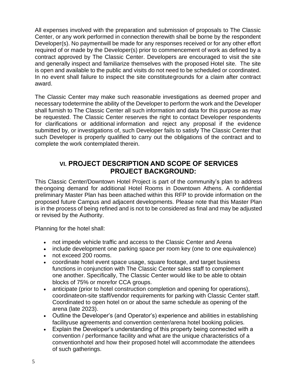All expenses involved with the preparation and submission of proposals to The Classic Center, or any work performed in connection therewith shall be borne by the respondent Developer(s). No paymentwill be made for any responses received or for any other effort required of or made by the Developer(s) prior to commencement of work as defined by a contract approved by The Classic Center. Developers are encouraged to visit the site and generally inspect and familiarize themselves with the proposed Hotel site. The site is open and available to the public and visits do not need to be scheduled or coordinated. In no event shall failure to inspect the site constitutegrounds for a claim after contract award.

The Classic Center may make such reasonable investigations as deemed proper and necessary todetermine the ability of the Developer to perform the work and the Developer shall furnish to The Classic Center all such information and data for this purpose as may be requested. The Classic Center reserves the right to contact Developer respondents for clarifications or additional information and reject any proposal if the evidence submitted by, or investigations of, such Developer fails to satisfy The Classic Center that such Developer is properly qualified to carry out the obligations of the contract and to complete the work contemplated therein.

# **VI. PROJECT DESCRIPTION AND SCOPE OF SERVICES PROJECT BACKGROUND:**

This Classic Center/Downtown Hotel Project is part of the community's plan to address theongoing demand for additional Hotel Rooms in Downtown Athens. A confidential preliminary Master Plan has been attached within this RFP to provide information on the proposed future Campus and adjacent developments. Please note that this Master Plan is in the process of being refined and is not to be considered as final and may be adjusted or revised by the Authority.

Planning for the hotel shall:

- not impede vehicle traffic and access to the Classic Center and Arena
- include development one parking space per room key (one to one equivalence)
- not exceed 200 rooms.
- coordinate hotel event space usage, square footage, and target business functions in conjunction with The Classic Center sales staff to complement one another. Specifically, The Classic Center would like to be able to obtain blocks of 75% or morefor CCA groups.
- anticipate (prior to hotel construction completion and opening for operations), coordinateon-site staff/vendor requirements for parking with Classic Center staff. Coordinated to open hotel on or about the same schedule as opening of the arena (late 2023).
- Outline the Developer's (and Operator's) experience and abilities in establishing facilityuse agreements and convention center/arena hotel booking policies.
- Explain the Developer's understanding of this property being connected with a convention / performance facility and what are the unique characteristics of a conventionhotel and how their proposed hotel will accommodate the attendees of such gatherings.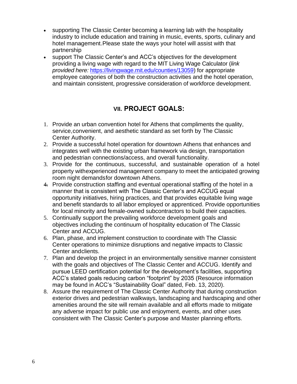- supporting The Classic Center becoming a learning lab with the hospitality industry to include education and training in music, events, sports, culinary and hotel management.Please state the ways your hotel will assist with that partnership
- support The Classic Center's and ACC's objectives for the development providing a living wage with regard to the MIT Living Wage Calculator (*link provided here:* [https://livingwage.mit.edu/counties/13059\)](https://livingwage.mit.edu/counties/13059) for appropriate employee categories of both the construction activities and the hotel operation, and maintain consistent, progressive consideration of workforce development.

# **VII. PROJECT GOALS:**

- 1. Provide an urban convention hotel for Athens that compliments the quality, service,convenient, and aesthetic standard as set forth by The Classic Center Authority.
- 2. Provide a successful hotel operation for downtown Athens that enhances and integrates well with the existing urban framework via design, transportation and pedestrian connections/access, and overall functionality.
- 3. Provide for the continuous, successful, and sustainable operation of a hotel property withexperienced management company to meet the anticipated growing room night demandsfor downtown Athens.
- 4. Provide construction staffing and eventual operational staffing of the hotel in a manner that is consistent with The Classic Center's and ACCUG equal opportunity initiatives, hiring practices, and that provides equitable living wage and benefit standards to all labor employed or apprenticed. Provide opportunities for local minority and female-owned subcontractors to build their capacities.
- 5. Continually support the prevailing workforce development goals and objectives including the continuum of hospitality education of The Classic Center and ACCUG.
- 6. Plan, phase, and implement construction to coordinate with The Classic Center operations to minimize disruptions and negative impacts to Classic Center andclients.
- 7. Plan and develop the project in an environmentally sensitive manner consistent with the goals and objectives of The Classic Center and ACCUG. Identify and pursue LEED certification potential for the development's facilities, supporting ACC's stated goals reducing carbon "footprint" by 2035 (Resource information may be found in ACC's "Sustainability Goal" dated, Feb. 13, 2020).
- 8. Assure the requirement of The Classic Center Authority that during construction exterior drives and pedestrian walkways, landscaping and hardscaping and other amenities around the site will remain available and all efforts made to mitigate any adverse impact for public use and enjoyment, events, and other uses consistent with The Classic Center's purpose and Master planning efforts.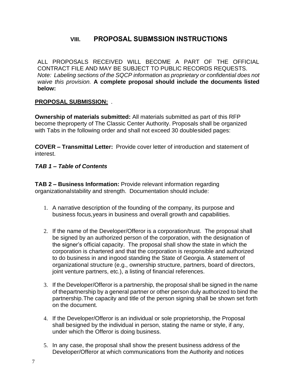# **VIII. PROPOSAL SUBMSSION INSTRUCTIONS**

ALL PROPOSALS RECEIVED WILL BECOME A PART OF THE OFFICIAL CONTRACT FILE AND MAY BE SUBJECT TO PUBLIC RECORDS REQUESTS. *Note: Labeling sections of the SQCP information as proprietary or confidential does not waive this provision.* **A complete proposal should include the documents listed below:**

#### **PROPOSAL SUBMISSION:** .

**Ownership of materials submitted:** All materials submitted as part of this RFP become theproperty of The Classic Center Authority. Proposals shall be organized with Tabs in the following order and shall not exceed 30 doublesided pages:

**COVER – Transmittal Letter:** Provide cover letter of introduction and statement of interest.

#### *TAB 1 – Table of Contents*

**TAB 2 – Business Information:** Provide relevant information regarding organizationalstability and strength. Documentation should include:

- 1. A narrative description of the founding of the company, its purpose and business focus,years in business and overall growth and capabilities.
- 2. If the name of the Developer/Offeror is a corporation/trust. The proposal shall be signed by an authorized person of the corporation, with the designation of the signer's official capacity. The proposal shall show the state in which the corporation is chartered and that the corporation is responsible and authorized to do business in and ingood standing the State of Georgia. A statement of organizational structure (e.g., ownership structure, partners, board of directors, joint venture partners, etc.), a listing of financial references.
- 3. If the Developer/Offeror is a partnership, the proposal shall be signed in the name of thepartnership by a general partner or other person duly authorized to bind the partnership.The capacity and title of the person signing shall be shown set forth on the document.
- 4. If the Developer/Offeror is an individual or sole proprietorship, the Proposal shall besigned by the individual in person, stating the name or style, if any, under which the Offeror is doing business.
- 5. In any case, the proposal shall show the present business address of the Developer/Offeror at which communications from the Authority and notices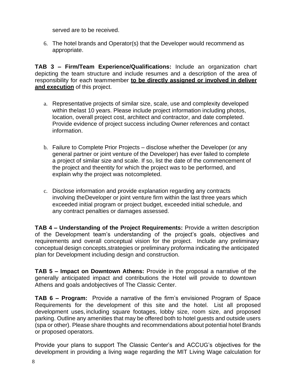served are to be received.

6. The hotel brands and Operator(s) that the Developer would recommend as appropriate.

**TAB 3 – Firm/Team Experience/Qualifications:** Include an organization chart depicting the team structure and include resumes and a description of the area of responsibility for each teammember **to be directly assigned or involved in deliver and execution** of this project.

- a. Representative projects of similar size, scale, use and complexity developed within thelast 10 years. Please include project information including photos, location, overall project cost, architect and contractor, and date completed. Provide evidence of project success including Owner references and contact information.
- b. Failure to Complete Prior Projects disclose whether the Developer (or any general partner or joint venture of the Developer) has ever failed to complete a project of similar size and scale. If so, list the date of the commencement of the project and theentity for which the project was to be performed, and explain why the project was notcompleted.
- c. Disclose information and provide explanation regarding any contracts involving theDeveloper or joint venture firm within the last three years which exceeded initial program or project budget, exceeded initial schedule, and any contract penalties or damages assessed.

**TAB 4 – Understanding of the Project Requirements:** Provide a written description of the Development team's understanding of the project's goals, objectives and requirements and overall conceptual vision for the project. Include any preliminary conceptual design concepts,strategies or preliminary proforma indicating the anticipated plan for Development including design and construction.

**TAB 5 – Impact on Downtown Athens:** Provide in the proposal a narrative of the generally anticipated impact and contributions the Hotel will provide to downtown Athens and goals andobjectives of The Classic Center.

**TAB 6 – Program:** Provide a narrative of the firm's envisioned Program of Space Requirements for the development of this site and the hotel. List all proposed development uses, including square footages, lobby size, room size, and proposed parking. Outline any amenities that may be offered both to hotel guests and outside users (spa or other). Please share thoughts and recommendations about potential hotel Brands or proposed operators.

Provide your plans to support The Classic Center's and ACCUG's objectives for the development in providing a living wage regarding the MIT Living Wage calculation for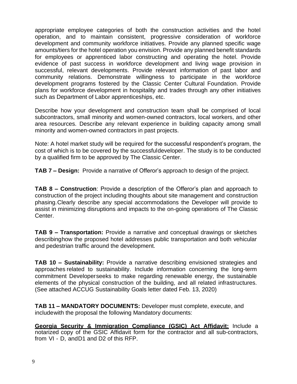appropriate employee categories of both the construction activities and the hotel operation, and to maintain consistent, progressive consideration of workforce development and community workforce initiatives. Provide any planned specific wage amounts/tiers for the hotel operation you envision. Provide any planned benefit standards for employees or apprenticed labor constructing and operating the hotel. Provide evidence of past success in workforce development and living wage provision in successful, relevant developments. Provide relevant information of past labor and community relations. Demonstrate willingness to participate in the workforce development programs fostered by the Classic Center Cultural Foundation. Provide plans for workforce development in hospitality and trades through any other initiatives such as Department of Labor apprenticeships, etc.

Describe how your development and construction team shall be comprised of local subcontractors, small minority and women-owned contractors, local workers, and other area resources. Describe any relevant experience in building capacity among small minority and women-owned contractors in past projects.

Note: A hotel market study will be required for the successful respondent's program, the cost of which is to be covered by the successfuldeveloper. The study is to be conducted by a qualified firm to be approved by The Classic Center.

**TAB 7 – Design:** Provide a narrative of Offeror's approach to design of the project.

**TAB 8 – Construction**: Provide a description of the Offeror's plan and approach to construction of the project including thoughts about site management and construction phasing.Clearly describe any special accommodations the Developer will provide to assist in minimizing disruptions and impacts to the on-going operations of The Classic Center.

**TAB 9 – Transportation:** Provide a narrative and conceptual drawings or sketches describinghow the proposed hotel addresses public transportation and both vehicular and pedestrian traffic around the development.

**TAB 10 – Sustainability:** Provide a narrative describing envisioned strategies and approaches related to sustainability. Include information concerning the long-term commitment Developerseeks to make regarding renewable energy, the sustainable elements of the physical construction of the building, and all related infrastructures. (See attached ACCUG Sustainability Goals letter dated Feb. 13, 2020)

**TAB 11 – MANDATORY DOCUMENTS:** Developer must complete, execute, and includewith the proposal the following Mandatory documents:

**Georgia Security & Immigration Compliance (GSIC) Act Affidavit:** Include a notarized copy of the GSIC Affidavit form for the contractor and all sub-contractors, from VI - D, andD1 and D2 of this RFP.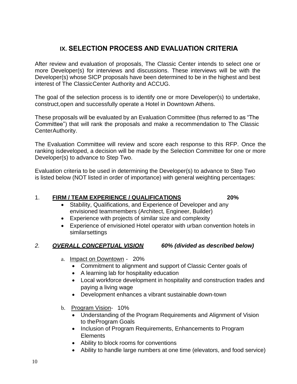# **IX. SELECTION PROCESS AND EVALUATION CRITERIA**

After review and evaluation of proposals, The Classic Center intends to select one or more Developer(s) for interviews and discussions. These interviews will be with the Developer(s) whose SICP proposals have been determined to be in the highest and best interest of The ClassicCenter Authority and ACCUG.

The goal of the selection process is to identify one or more Developer(s) to undertake, construct,open and successfully operate a Hotel in Downtown Athens.

These proposals will be evaluated by an Evaluation Committee (thus referred to as "The Committee") that will rank the proposals and make a recommendation to The Classic CenterAuthority.

The Evaluation Committee will review and score each response to this RFP. Once the ranking isdeveloped, a decision will be made by the Selection Committee for one or more Developer(s) to advance to Step Two.

Evaluation criteria to be used in determining the Developer(s) to advance to Step Two is listed below (NOT listed in order of importance) with general weighting percentages:

#### 1. **FIRM / TEAM EXPERIENCE / QUALIFICATIONS 20%**

- Stability, Qualifications, and Experience of Developer and any envisioned teammembers (Architect, Engineer, Builder)
- Experience with projects of similar size and complexity
- Experience of envisioned Hotel operator with urban convention hotels in similarsettings

#### *2. OVERALL CONCEPTUAL VISION 60% (divided as described below)*

- a. Impact on Downtown 20%
	- Commitment to alignment and support of Classic Center goals of
	- A learning lab for hospitality education
	- Local workforce development in hospitality and construction trades and paying a living wage
	- Development enhances a vibrant sustainable down-town
- b. Program Vision- 10%
	- Understanding of the Program Requirements and Alignment of Vision to theProgram Goals
	- Inclusion of Program Requirements, Enhancements to Program Elements
	- Ability to block rooms for conventions
	- Ability to handle large numbers at one time (elevators, and food service)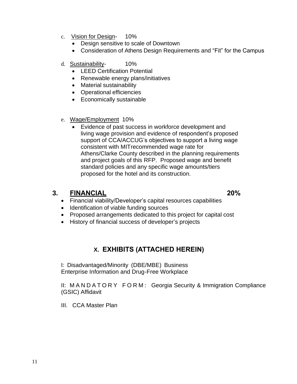- c. Vision for Design- 10%
	- Design sensitive to scale of Downtown
	- Consideration of Athens Design Requirements and "Fit" for the Campus
- d. Sustainability- 10%
	- LEED Certification Potential
	- Renewable energy plans/initiatives
	- Material sustainability
	- Operational efficiencies
	- Economically sustainable
- e. Wage/Employment 10%
	- Evidence of past success in workforce development and living wage provision and evidence of respondent's proposed support of CCA/ACCUG's objectives to support a living wage consistent with MITrecommended wage rate for Athens/Clarke County described in the planning requirements and project goals of this RFP. Proposed wage and benefit standard policies and any specific wage amounts/tiers proposed for the hotel and its construction.

### **3. FINANCIAL 20%**

- Financial viability/Developer's capital resources capabilities
- Identification of viable funding sources
- Proposed arrangements dedicated to this project for capital cost
- History of financial success of developer's projects

# **X. EXHIBITS (ATTACHED HEREIN)**

I: Disadvantaged/Minority (DBE/MBE) Business Enterprise Information and Drug-Free Workplace

II: M A N D A T O R Y F O R M : Georgia Security & Immigration Compliance (GSIC) Affidavit

III. CCA Master Plan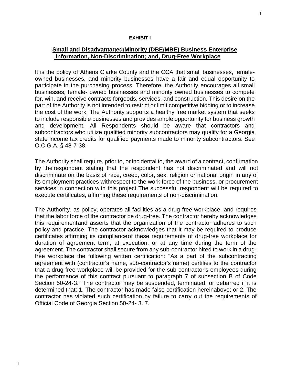#### **EXHIBIT I**

#### **Small and Disadvantaged/Minority (DBE/MBE) Business Enterprise Information, Non-Discrimination; and, Drug-Free Workplace**

It is the policy of Athens Clarke County and the CCA that small businesses, femaleowned businesses, and minority businesses have a fair and equal opportunity to participate in the purchasing process. Therefore, the Authority encourages all small businesses, female- owned businesses and minority owned businesses to compete for, win, and receive contracts forgoods, services, and construction. This desire on the part of the Authority is not intended to restrict or limit competitive bidding or to increase the cost of the work. The Authority supports a healthy free market system that seeks to include responsible businesses and provides ample opportunity for business growth and development. All Respondents should be aware that contractors and subcontractors who utilize qualified minority subcontractors may qualify for a Georgia state income tax credits for qualified payments made to minority subcontractors. See O.C.G.A. § 48-7-38.

The Authority shall require, prior to, or incidental to, the award of a contract, confirmation by the respondent stating that the respondent has not discriminated and will not discriminate on the basis of race, creed, color, sex, religion or national origin in any of its employment practices withrespect to the work force of the business, or procurement services in connection with this project.The successful respondent will be required to execute certificates, affirming these requirements of non-discrimination.

The Authority, as policy, operates all facilities as a drug-free workplace, and requires that the labor force of the contractor be drug-free. The contractor hereby acknowledges this requirementand asserts that the organization of the contractor adheres to such policy and practice. The contractor acknowledges that it may be required to produce certificates affirming its complianceof these requirements of drug-free workplace for duration of agreement term, at execution, or at any time during the term of the agreement. The contractor shall secure from any sub-contractor hired to work in a drugfree workplace the following written certification: "As a part of the subcontracting agreement with (contractor's name, sub-contractor's name) certifies to the contractor that a drug-free workplace will be provided for the sub-contractor's employees during the performance of this contract pursuant to paragraph 7 of subsection B of Code Section 50-24-3." The contractor may be suspended, terminated, or debarred if it is determined that: 1. The contractor has made false certification hereinabove; or 2. The contractor has violated such certification by failure to carry out the requirements of Official Code of Georgia Section 50-24- 3. 7.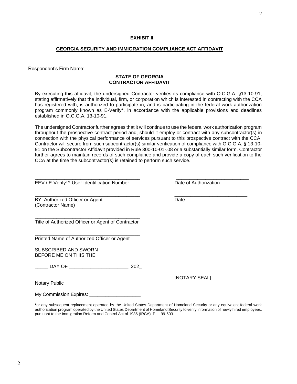#### **EXHIBIT II**

#### **GEORGIA SECURITY AND IMMIGRATION COMPLIANCE ACT AFFIDAVIT**

Respondent's Firm Name:

#### **STATE OF GEORGIA CONTRACTOR AFFIDAVIT**

By executing this affidavit, the undersigned Contractor verifies its compliance with O.C.G.A. §13-10-91, stating affirmatively that the individual, firm, or corporation which is interested in contracting with the CCA has registered with, is authorized to participate in, and is participating in the federal work authorization program commonly known as E-Verify\*, in accordance with the applicable provisions and deadlines established in O.C.G.A. 13-10-91.

The undersigned Contractor further agrees that it will continue to use the federal work authorization program throughout the prospective contract period and, should it employ or contract with any subcontractor(s) in connection with the physical performance of services pursuant to this prospective contract with the CCA, Contractor will secure from such subcontractor(s) similar verification of compliance with O.C.G.A. § 13-10- 91 on the Subcontractor Affidavit provided in Rule 300-10-01-.08 or a substantially similar form. Contractor further agrees to maintain records of such compliance and provide a copy of each such verification to the CCA at the time the subcontractor(s) is retained to perform such service.

\_\_\_\_\_\_\_\_\_\_\_\_\_\_\_\_\_\_\_\_\_\_\_\_\_\_\_\_\_\_\_\_\_\_\_\_\_\_\_ \_\_\_\_\_\_\_\_\_\_\_\_\_\_\_\_\_\_\_\_\_\_\_\_\_\_\_

EEV / E-Verify<sup>™</sup> User Identification Number Date of Authorization

BY: Authorized Officer or Agent Date (Contractor Name)

\_\_\_\_\_\_\_\_\_\_\_\_\_\_\_\_\_\_\_\_\_\_\_\_\_\_\_\_\_\_\_\_\_\_\_\_\_\_\_ Title of Authorized Officer or Agent of Contractor

\_\_\_\_\_\_\_\_\_\_\_\_\_\_\_\_\_\_\_\_\_\_\_\_\_\_\_\_\_\_\_\_\_\_\_\_\_\_\_

Printed Name of Authorized Officer or Agent

SUBSCRIBED AND SWORN BEFORE ME ON THIS THE

\_\_\_\_\_ DAY OF \_\_\_\_\_\_\_\_\_\_\_\_\_\_\_\_\_\_\_\_\_\_, 202\_

Notary Public

My Commission Expires: \_\_\_\_\_\_\_\_\_\_\_\_\_\_\_\_\_\_\_

**\***or any subsequent replacement operated by the United States Department of Homeland Security or any equivalent federal work authorization program operated by the United States Department of Homeland Security to verify information of newly hired employees, pursuant to the Immigration Reform and Control Act of 1986 (IRCA), P.L. 99-603.

 $\overline{\phantom{a}}$  , and the set of the set of the set of the set of the set of the set of the set of the set of the set of the set of the set of the set of the set of the set of the set of the set of the set of the set of the s

[NOTARY SEAL]